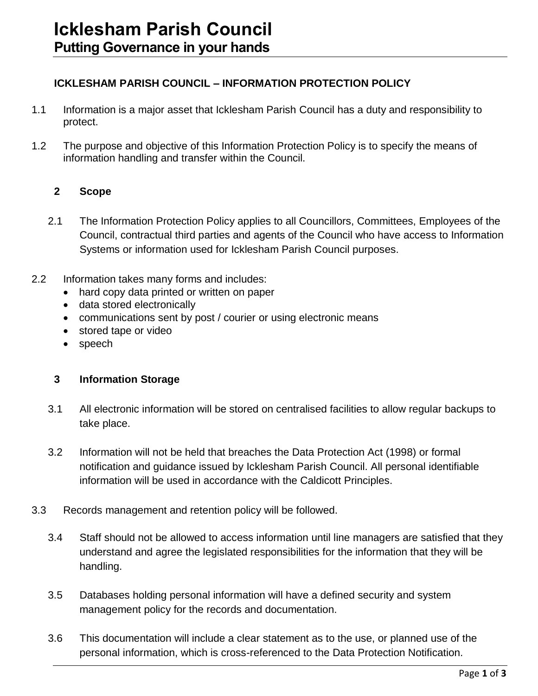# **ICKLESHAM PARISH COUNCIL – INFORMATION PROTECTION POLICY**

- 1.1 Information is a major asset that Icklesham Parish Council has a duty and responsibility to protect.
- 1.2 The purpose and objective of this Information Protection Policy is to specify the means of information handling and transfer within the Council.

## **2 Scope**

- 2.1 The Information Protection Policy applies to all Councillors, Committees, Employees of the Council, contractual third parties and agents of the Council who have access to Information Systems or information used for Icklesham Parish Council purposes.
- 2.2 Information takes many forms and includes:
	- hard copy data printed or written on paper
	- data stored electronically
	- communications sent by post / courier or using electronic means
	- stored tape or video
	- speech

## **3 Information Storage**

- 3.1 All electronic information will be stored on centralised facilities to allow regular backups to take place.
- 3.2 Information will not be held that breaches the Data Protection Act (1998) or formal notification and guidance issued by Icklesham Parish Council. All personal identifiable information will be used in accordance with the Caldicott Principles.
- 3.3 Records management and retention policy will be followed.
	- 3.4 Staff should not be allowed to access information until line managers are satisfied that they understand and agree the legislated responsibilities for the information that they will be handling.
	- 3.5 Databases holding personal information will have a defined security and system management policy for the records and documentation.
	- 3.6 This documentation will include a clear statement as to the use, or planned use of the personal information, which is cross-referenced to the Data Protection Notification.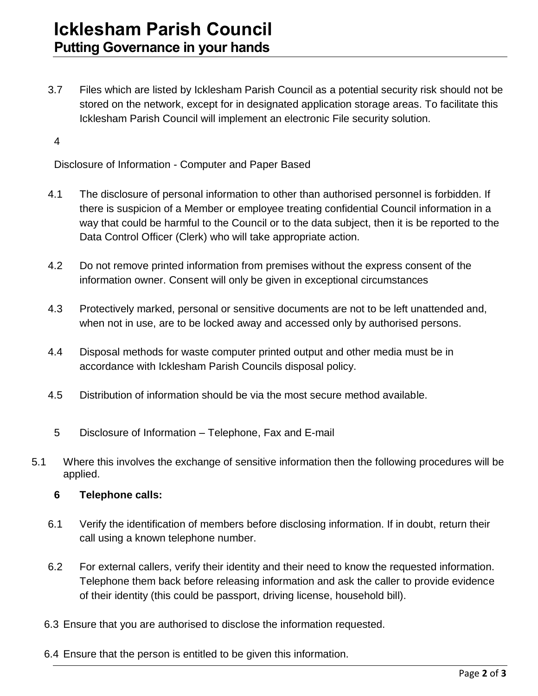3.7 Files which are listed by Icklesham Parish Council as a potential security risk should not be stored on the network, except for in designated application storage areas. To facilitate this Icklesham Parish Council will implement an electronic File security solution.

4

Disclosure of Information - Computer and Paper Based

- 4.1 The disclosure of personal information to other than authorised personnel is forbidden. If there is suspicion of a Member or employee treating confidential Council information in a way that could be harmful to the Council or to the data subject, then it is be reported to the Data Control Officer (Clerk) who will take appropriate action.
- 4.2 Do not remove printed information from premises without the express consent of the information owner. Consent will only be given in exceptional circumstances
- 4.3 Protectively marked, personal or sensitive documents are not to be left unattended and, when not in use, are to be locked away and accessed only by authorised persons.
- 4.4 Disposal methods for waste computer printed output and other media must be in accordance with Icklesham Parish Councils disposal policy.
- 4.5 Distribution of information should be via the most secure method available.
- 5 Disclosure of Information Telephone, Fax and E-mail
- 5.1 Where this involves the exchange of sensitive information then the following procedures will be applied.
	- **6 Telephone calls:**
	- 6.1 Verify the identification of members before disclosing information. If in doubt, return their call using a known telephone number.
	- 6.2 For external callers, verify their identity and their need to know the requested information. Telephone them back before releasing information and ask the caller to provide evidence of their identity (this could be passport, driving license, household bill).
	- 6.3 Ensure that you are authorised to disclose the information requested.
	- 6.4 Ensure that the person is entitled to be given this information.